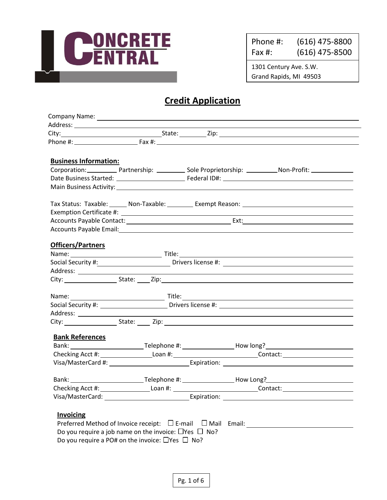

Phone #: (616) 475-8800 Fax #: (616) 475-8500

1301 Century Ave. S.W. Grand Rapids, MI 49503

## **Credit Application**

| Phone #: Eax #: Eax #:<br><b>Business Information:</b><br>Tax Status: Taxable: ______ Non-Taxable: _________ Exempt Reason: __________________________________<br>Accounts Payable Email: Note and the set of the set of the set of the set of the set of the set of the set of the set of the set of the set of the set of the set of the set of the set of the set of the set of the set of th<br><b>Officers/Partners</b> |  |  |
|------------------------------------------------------------------------------------------------------------------------------------------------------------------------------------------------------------------------------------------------------------------------------------------------------------------------------------------------------------------------------------------------------------------------------|--|--|
|                                                                                                                                                                                                                                                                                                                                                                                                                              |  |  |
|                                                                                                                                                                                                                                                                                                                                                                                                                              |  |  |
|                                                                                                                                                                                                                                                                                                                                                                                                                              |  |  |
|                                                                                                                                                                                                                                                                                                                                                                                                                              |  |  |
|                                                                                                                                                                                                                                                                                                                                                                                                                              |  |  |
|                                                                                                                                                                                                                                                                                                                                                                                                                              |  |  |
|                                                                                                                                                                                                                                                                                                                                                                                                                              |  |  |
|                                                                                                                                                                                                                                                                                                                                                                                                                              |  |  |
|                                                                                                                                                                                                                                                                                                                                                                                                                              |  |  |
|                                                                                                                                                                                                                                                                                                                                                                                                                              |  |  |
|                                                                                                                                                                                                                                                                                                                                                                                                                              |  |  |
|                                                                                                                                                                                                                                                                                                                                                                                                                              |  |  |
|                                                                                                                                                                                                                                                                                                                                                                                                                              |  |  |
|                                                                                                                                                                                                                                                                                                                                                                                                                              |  |  |
|                                                                                                                                                                                                                                                                                                                                                                                                                              |  |  |
|                                                                                                                                                                                                                                                                                                                                                                                                                              |  |  |
|                                                                                                                                                                                                                                                                                                                                                                                                                              |  |  |
|                                                                                                                                                                                                                                                                                                                                                                                                                              |  |  |
| <u>and a starting of the starting of the starting of the starting of the starting of the starting of the starting of the starting of the starting of the starting of the starting of the starting of the starting of the startin</u><br>Name:                                                                                                                                                                                |  |  |
| Social Security #: ____________________________Drivers license #: __________________________________                                                                                                                                                                                                                                                                                                                         |  |  |
| and the control of the control of the control of the control of the control of the control of the control of the                                                                                                                                                                                                                                                                                                             |  |  |
| City: State: Zip: State: Zip:                                                                                                                                                                                                                                                                                                                                                                                                |  |  |
| <b>Bank References</b>                                                                                                                                                                                                                                                                                                                                                                                                       |  |  |
|                                                                                                                                                                                                                                                                                                                                                                                                                              |  |  |
| Checking Acct #: ______________________Loan #: _________________________________Contact: _____________________                                                                                                                                                                                                                                                                                                               |  |  |
|                                                                                                                                                                                                                                                                                                                                                                                                                              |  |  |
|                                                                                                                                                                                                                                                                                                                                                                                                                              |  |  |
| Checking Acct #: ___________________Loan #: ______________________________Contact: ___________________________                                                                                                                                                                                                                                                                                                               |  |  |
| Visa/MasterCard: Carrier Carrier Communication: Carrier Carrier Carrier Carrier Communication: Carrier Carrier                                                                                                                                                                                                                                                                                                               |  |  |
|                                                                                                                                                                                                                                                                                                                                                                                                                              |  |  |
| <b>Invoicing</b>                                                                                                                                                                                                                                                                                                                                                                                                             |  |  |
| Preferred Method of Invoice receipt: $\Box$ E-mail $\Box$ Mail Email:                                                                                                                                                                                                                                                                                                                                                        |  |  |
| Do you require a job name on the invoice: $\Box$ Yes $\Box$ No?                                                                                                                                                                                                                                                                                                                                                              |  |  |
| Do you require a PO# on the invoice: $\Box$ Yes $\Box$ No?                                                                                                                                                                                                                                                                                                                                                                   |  |  |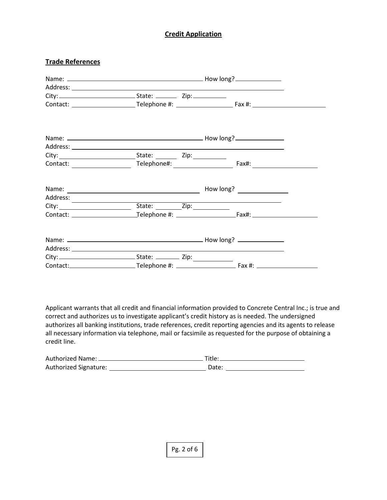### **Credit Application**

#### **Trade References**

| Contact: the contract of the contract of the contract of the contract of the contract of the contract of the contract of the contract of the contract of the contract of the contract of the contract of the contract of the c |                                                                                                                                                                                                                               |  |  |
|--------------------------------------------------------------------------------------------------------------------------------------------------------------------------------------------------------------------------------|-------------------------------------------------------------------------------------------------------------------------------------------------------------------------------------------------------------------------------|--|--|
|                                                                                                                                                                                                                                |                                                                                                                                                                                                                               |  |  |
|                                                                                                                                                                                                                                |                                                                                                                                                                                                                               |  |  |
|                                                                                                                                                                                                                                | City: City: City: City: City: City: City: City: City: City: City: City: City: City: City: City: City: City: City: City: City: City: City: City: City: City: City: City: City: City: City: City: City: City: City: City: City: |  |  |
|                                                                                                                                                                                                                                |                                                                                                                                                                                                                               |  |  |
|                                                                                                                                                                                                                                |                                                                                                                                                                                                                               |  |  |
|                                                                                                                                                                                                                                |                                                                                                                                                                                                                               |  |  |
|                                                                                                                                                                                                                                |                                                                                                                                                                                                                               |  |  |
|                                                                                                                                                                                                                                |                                                                                                                                                                                                                               |  |  |

Applicant warrants that all credit and financial information provided to Concrete Central Inc.; is true and correct and authorizes us to investigate applicant's credit history as is needed. The undersigned authorizes all banking institutions, trade references, credit reporting agencies and its agents to release all necessary information via telephone, mail or facsimile as requested for the purpose of obtaining a credit line.

| Authorized Name: _    | Title: |
|-----------------------|--------|
| Authorized Signature: | Date:  |

Pg. 2 of 6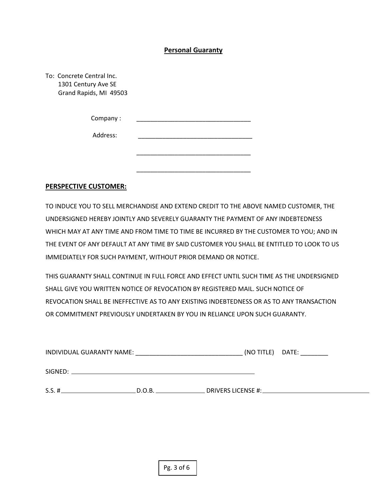#### **Personal Guaranty**

| To: Concrete Central Inc.<br>1301 Century Ave SE<br>Grand Rapids, MI 49503 |  |
|----------------------------------------------------------------------------|--|
| Company:                                                                   |  |
| Address:                                                                   |  |
|                                                                            |  |
|                                                                            |  |

#### **PERSPECTIVE CUSTOMER:**

TO INDUCE YOU TO SELL MERCHANDISE AND EXTEND CREDIT TO THE ABOVE NAMED CUSTOMER, THE UNDERSIGNED HEREBY JOINTLY AND SEVERELY GUARANTY THE PAYMENT OF ANY INDEBTEDNESS WHICH MAY AT ANY TIME AND FROM TIME TO TIME BE INCURRED BY THE CUSTOMER TO YOU; AND IN THE EVENT OF ANY DEFAULT AT ANY TIME BY SAID CUSTOMER YOU SHALL BE ENTITLED TO LOOK TO US IMMEDIATELY FOR SUCH PAYMENT, WITHOUT PRIOR DEMAND OR NOTICE.

THIS GUARANTY SHALL CONTINUE IN FULL FORCE AND EFFECT UNTIL SUCH TIME AS THE UNDERSIGNED SHALL GIVE YOU WRITTEN NOTICE OF REVOCATION BY REGISTERED MAIL. SUCH NOTICE OF REVOCATION SHALL BE INEFFECTIVE AS TO ANY EXISTING INDEBTEDNESS OR AS TO ANY TRANSACTION OR COMMITMENT PREVIOUSLY UNDERTAKEN BY YOU IN RELIANCE UPON SUCH GUARANTY.

| INDIVIDUAL GUARANTY NAME: |  | (NO TITLE) DATE: |
|---------------------------|--|------------------|
| SIGNED:                   |  |                  |
| $S.S. \#$<br>D.O.B.       |  |                  |

Pg. 3 of 6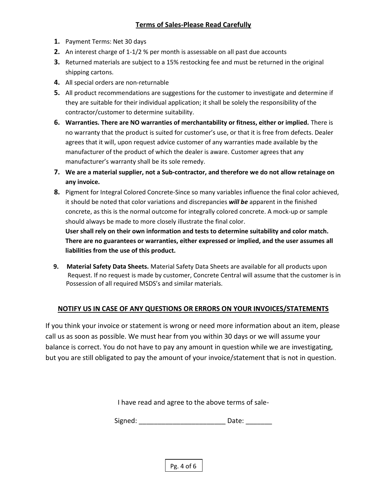- **1.** Payment Terms: Net 30 days
- **2.** An interest charge of 1-1/2 % per month is assessable on all past due accounts
- **3.** Returned materials are subject to a 15% restocking fee and must be returned in the original shipping cartons.
- **4.** All special orders are non-returnable
- **5.** All product recommendations are suggestions for the customer to investigate and determine if they are suitable for their individual application; it shall be solely the responsibility of the contractor/customer to determine suitability.
- **6. Warranties. There are NO warranties of merchantability or fitness, either or implied.** There is no warranty that the product is suited for customer's use, or that it is free from defects. Dealer agrees that it will, upon request advice customer of any warranties made available by the manufacturer of the product of which the dealer is aware. Customer agrees that any manufacturer's warranty shall be its sole remedy.
- **7. We are a material supplier, not a Sub-contractor, and therefore we do not allow retainage on any invoice.**
- **8.** Pigment for Integral Colored Concrete-Since so many variables influence the final color achieved, it should be noted that color variations and discrepancies *will be* apparent in the finished concrete, as this is the normal outcome for integrally colored concrete. A mock-up or sample should always be made to more closely illustrate the final color.

**User shall rely on their own information and tests to determine suitability and color match. There are no guarantees or warranties, either expressed or implied, and the user assumes all liabilities from the use of this product.**

 **9. Material Safety Data Sheets.** Material Safety Data Sheets are available for all products upon Request. If no request is made by customer, Concrete Central will assume that the customer is in Possession of all required MSDS's and similar materials.

## **NOTIFY US IN CASE OF ANY QUESTIONS OR ERRORS ON YOUR INVOICES/STATEMENTS**

If you think your invoice or statement is wrong or need more information about an item, please call us as soon as possible. We must hear from you within 30 days or we will assume your balance is correct. You do not have to pay any amount in question while we are investigating, but you are still obligated to pay the amount of your invoice/statement that is not in question.

I have read and agree to the above terms of sale-

Signed: \_\_\_\_\_\_\_\_\_\_\_\_\_\_\_\_\_\_\_\_\_\_\_\_\_\_\_\_\_\_\_\_\_\_\_ Date:

Pg. 4 of 6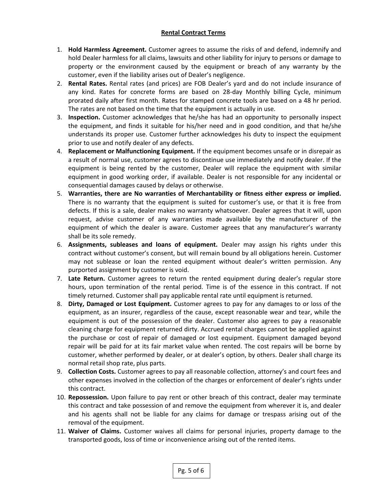#### **Rental Contract Terms**

- 1. **Hold Harmless Agreement.** Customer agrees to assume the risks of and defend, indemnify and hold Dealer harmless for all claims, lawsuits and other liability for injury to persons or damage to property or the environment caused by the equipment or breach of any warranty by the customer, even if the liability arises out of Dealer's negligence.
- 2. **Rental Rates.** Rental rates (and prices) are FOB Dealer's yard and do not include insurance of any kind. Rates for concrete forms are based on 28-day Monthly billing Cycle, minimum prorated daily after first month. Rates for stamped concrete tools are based on a 48 hr period. The rates are not based on the time that the equipment is actually in use.
- 3. **Inspection.** Customer acknowledges that he/she has had an opportunity to personally inspect the equipment, and finds it suitable for his/her need and in good condition, and that he/she understands its proper use. Customer further acknowledges his duty to inspect the equipment prior to use and notify dealer of any defects.
- 4. **Replacement or Malfunctioning Equipment.** If the equipment becomes unsafe or in disrepair as a result of normal use, customer agrees to discontinue use immediately and notify dealer. If the equipment is being rented by the customer, Dealer will replace the equipment with similar equipment in good working order, if available. Dealer is not responsible for any incidental or consequential damages caused by delays or otherwise.
- 5. **Warranties, there are No warranties of Merchantability or fitness either express or implied.** There is no warranty that the equipment is suited for customer's use, or that it is free from defects. If this is a sale, dealer makes no warranty whatsoever. Dealer agrees that it will, upon request, advise customer of any warranties made available by the manufacturer of the equipment of which the dealer is aware. Customer agrees that any manufacturer's warranty shall be its sole remedy.
- 6. **Assignments, subleases and loans of equipment.** Dealer may assign his rights under this contract without customer's consent, but will remain bound by all obligations herein. Customer may not sublease or loan the rented equipment without dealer's written permission. Any purported assignment by customer is void.
- 7. **Late Return.** Customer agrees to return the rented equipment during dealer's regular store hours, upon termination of the rental period. Time is of the essence in this contract. If not timely returned. Customer shall pay applicable rental rate until equipment is returned.
- 8. **Dirty, Damaged or Lost Equipment.** Customer agrees to pay for any damages to or loss of the equipment, as an insurer, regardless of the cause, except reasonable wear and tear, while the equipment is out of the possession of the dealer. Customer also agrees to pay a reasonable cleaning charge for equipment returned dirty. Accrued rental charges cannot be applied against the purchase or cost of repair of damaged or lost equipment. Equipment damaged beyond repair will be paid for at its fair market value when rented. The cost repairs will be borne by customer, whether performed by dealer, or at dealer's option, by others. Dealer shall charge its normal retail shop rate, plus parts.
- 9. **Collection Costs.** Customer agrees to pay all reasonable collection, attorney's and court fees and other expenses involved in the collection of the charges or enforcement of dealer's rights under this contract.
- 10. **Repossession.** Upon failure to pay rent or other breach of this contract, dealer may terminate this contract and take possession of and remove the equipment from wherever it is, and dealer and his agents shall not be liable for any claims for damage or trespass arising out of the removal of the equipment.
- 11. **Waiver of Claims.** Customer waives all claims for personal injuries, property damage to the transported goods, loss of time or inconvenience arising out of the rented items.